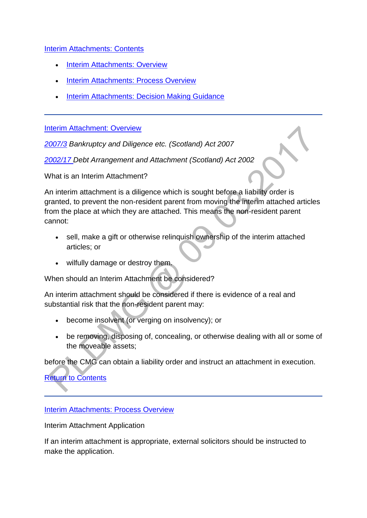## [Interim Attachments: Contents](http://np-cmg-sharepoint.link2.gpn.gov.uk/sites/policy-law-and-decision-making-guidance/Pages/Legal%20Enforcement%20-%20Scotland/Interim-Attachment.aspx)

- [Interim Attachments: Overview](http://np-cmg-sharepoint.link2.gpn.gov.uk/sites/policy-law-and-decision-making-guidance/Pages/Legal%20Enforcement%20-%20Scotland/Interim-Attachment.aspx#InterimAttachmentOverview)
- [Interim Attachments: Process Overview](http://np-cmg-sharepoint.link2.gpn.gov.uk/sites/policy-law-and-decision-making-guidance/Pages/Legal%20Enforcement%20-%20Scotland/Interim-Attachment.aspx#InterimAttachmentsProcessOverview)
- [Interim Attachments: Decision Making Guidance](http://np-cmg-sharepoint.link2.gpn.gov.uk/sites/policy-law-and-decision-making-guidance/Pages/Legal%20Enforcement%20-%20Scotland/Interim-Attachment.aspx#InterimAttachmentsDecisionMakingGuidance)

[Interim Attachment: Overview](http://np-cmg-sharepoint.link2.gpn.gov.uk/sites/policy-law-and-decision-making-guidance/Pages/Legal%20Enforcement%20-%20Scotland/Interim-Attachment.aspx)

*[2007/3](http://www.legislation.gov.uk/asp/2007/3/contents) Bankruptcy and Diligence etc. (Scotland) Act 2007*

*[2002/17 D](http://www.legislation.gov.uk/asp/2002/17/contents)ebt Arrangement and Attachment (Scotland) Act 2002*

What is an Interim Attachment?

An interim attachment is a diligence which is sought before a liability order is granted, to prevent the non-resident parent from moving the interim attached articles from the place at which they are attached. This means the non-resident parent cannot:

- sell, make a gift or otherwise relinquish ownership of the interim attached articles; or
- wilfully damage or destroy them.

When should an Interim Attachment be considered?

An interim attachment should be considered if there is evidence of a real and substantial risk that the non-resident parent may:

- become insolvent (or verging on insolvency); or
- be removing, disposing of, concealing, or otherwise dealing with all or some of the moveable assets;

before the CMG can obtain a liability order and instruct an attachment in execution.

[Return to Contents](http://np-cmg-sharepoint.link2.gpn.gov.uk/sites/policy-law-and-decision-making-guidance/Pages/Legal%20Enforcement%20-%20Scotland/Interim-Attachment.aspx#IAContents)

[Interim Attachments: Process Overview](http://np-cmg-sharepoint.link2.gpn.gov.uk/sites/policy-law-and-decision-making-guidance/Pages/Legal%20Enforcement%20-%20Scotland/Interim-Attachment.aspx)

Interim Attachment Application

If an interim attachment is appropriate, external solicitors should be instructed to make the application.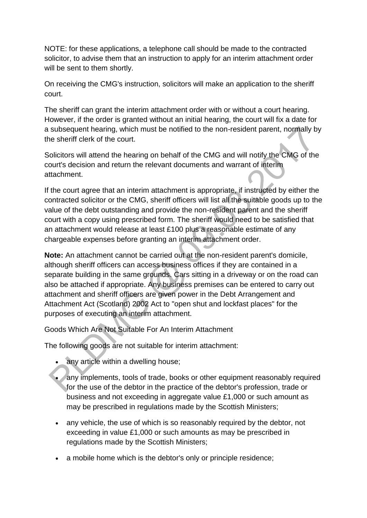NOTE: for these applications, a telephone call should be made to the contracted solicitor, to advise them that an instruction to apply for an interim attachment order will be sent to them shortly.

On receiving the CMG's instruction, solicitors will make an application to the sheriff court.

The sheriff can grant the interim attachment order with or without a court hearing. However, if the order is granted without an initial hearing, the court will fix a date for a subsequent hearing, which must be notified to the non-resident parent, normally by the sheriff clerk of the court.

Solicitors will attend the hearing on behalf of the CMG and will notify the CMG of the court's decision and return the relevant documents and warrant of interim attachment.

If the court agree that an interim attachment is appropriate, if instructed by either the contracted solicitor or the CMG, sheriff officers will list all the suitable goods up to the value of the debt outstanding and provide the non-resident parent and the sheriff court with a copy using prescribed form. The sheriff would need to be satisfied that an attachment would release at least £100 plus a reasonable estimate of any chargeable expenses before granting an interim attachment order.

**Note:** An attachment cannot be carried out at the non-resident parent's domicile, although sheriff officers can access business offices if they are contained in a separate building in the same grounds. Cars sitting in a driveway or on the road can also be attached if appropriate. Any business premises can be entered to carry out attachment and sheriff officers are given power in the Debt Arrangement and Attachment Act (Scotland) 2002 Act to "open shut and lockfast places" for the purposes of executing an interim attachment.

Goods Which Are Not Suitable For An Interim Attachment

The following goods are not suitable for interim attachment:

- any article within a dwelling house;
- any implements, tools of trade, books or other equipment reasonably required for the use of the debtor in the practice of the debtor's profession, trade or business and not exceeding in aggregate value £1,000 or such amount as may be prescribed in regulations made by the Scottish Ministers;
- any vehicle, the use of which is so reasonably required by the debtor, not exceeding in value £1,000 or such amounts as may be prescribed in regulations made by the Scottish Ministers;
- a mobile home which is the debtor's only or principle residence;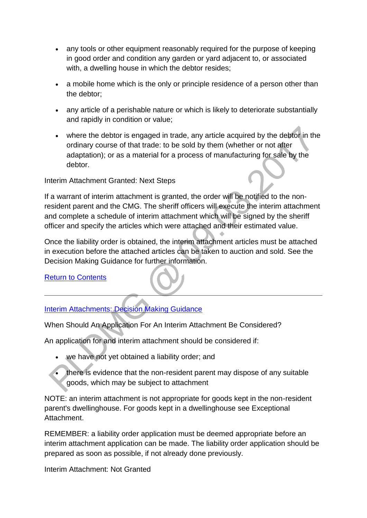- any tools or other equipment reasonably required for the purpose of keeping in good order and condition any garden or yard adjacent to, or associated with, a dwelling house in which the debtor resides;
- a mobile home which is the only or principle residence of a person other than the debtor;
- any article of a perishable nature or which is likely to deteriorate substantially and rapidly in condition or value;
- where the debtor is engaged in trade, any article acquired by the debtor in the ordinary course of that trade: to be sold by them (whether or not after adaptation); or as a material for a process of manufacturing for sale by the debtor.

Interim Attachment Granted: Next Steps

If a warrant of interim attachment is granted, the order will be notified to the nonresident parent and the CMG. The sheriff officers will execute the interim attachment and complete a schedule of interim attachment which will be signed by the sheriff officer and specify the articles which were attached and their estimated value.

Once the liability order is obtained, the interim attachment articles must be attached in execution before the attached articles can be taken to auction and sold. See the Decision Making Guidance for further information.

**[Return to Contents](http://np-cmg-sharepoint.link2.gpn.gov.uk/sites/policy-law-and-decision-making-guidance/Pages/Legal%20Enforcement%20-%20Scotland/Interim-Attachment.aspx)** 

[Interim Attachments: Decision Making Guidance](http://np-cmg-sharepoint.link2.gpn.gov.uk/sites/policy-law-and-decision-making-guidance/Pages/Legal%20Enforcement%20-%20Scotland/Interim-Attachment.aspx)

When Should An Application For An Interim Attachment Be Considered?

An application for and interim attachment should be considered if:

- we have not yet obtained a liability order; and
- there is evidence that the non-resident parent may dispose of any suitable goods, which may be subject to attachment

NOTE: an interim attachment is not appropriate for goods kept in the non-resident parent's dwellinghouse. For goods kept in a dwellinghouse see Exceptional Attachment.

REMEMBER: a liability order application must be deemed appropriate before an interim attachment application can be made. The liability order application should be prepared as soon as possible, if not already done previously.

Interim Attachment: Not Granted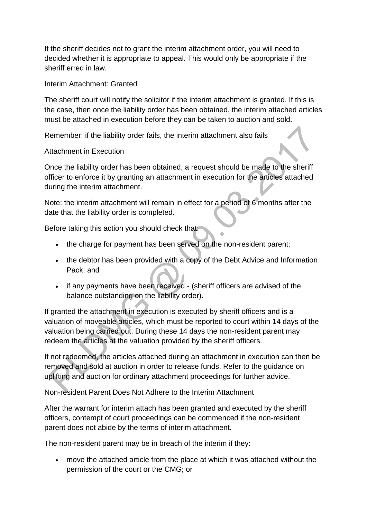If the sheriff decides not to grant the interim attachment order, you will need to decided whether it is appropriate to appeal. This would only be appropriate if the sheriff erred in law.

Interim Attachment: Granted

The sheriff court will notify the solicitor if the interim attachment is granted. If this is the case, then once the liability order has been obtained, the interim attached articles must be attached in execution before they can be taken to auction and sold.

Remember: if the liability order fails, the interim attachment also fails

Attachment in Execution

Once the liability order has been obtained, a request should be made to the sheriff officer to enforce it by granting an attachment in execution for the articles attached during the interim attachment.

Note: the interim attachment will remain in effect for a period of 6 months after the date that the liability order is completed.

Before taking this action you should check that:

- the charge for payment has been served on the non-resident parent;
- the debtor has been provided with a copy of the Debt Advice and Information Pack; and
- if any payments have been received (sheriff officers are advised of the balance outstanding on the liability order).

If granted the attachment in execution is executed by sheriff officers and is a valuation of moveable articles, which must be reported to court within 14 days of the valuation being carried out. During these 14 days the non-resident parent may redeem the articles at the valuation provided by the sheriff officers.

If not redeemed, the articles attached during an attachment in execution can then be removed and sold at auction in order to release funds. Refer to the guidance on uplifting and auction for ordinary attachment proceedings for further advice.

Non-resident Parent Does Not Adhere to the Interim Attachment

After the warrant for interim attach has been granted and executed by the sheriff officers, contempt of court proceedings can be commenced if the non-resident parent does not abide by the terms of interim attachment.

The non-resident parent may be in breach of the interim if they:

 move the attached article from the place at which it was attached without the permission of the court or the CMG; or